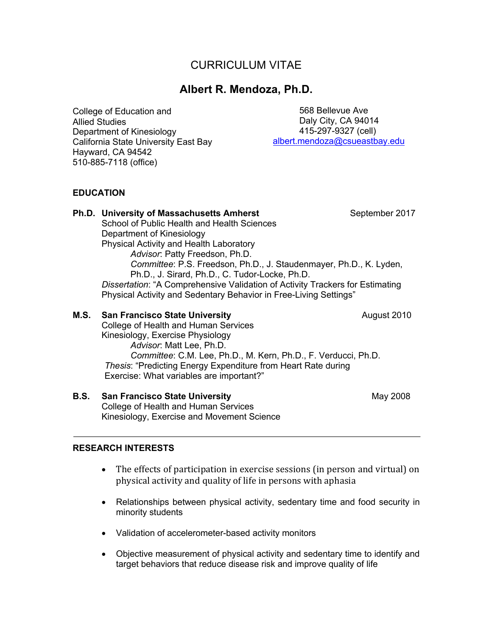# CURRICULUM VITAE

# **Albert R. Mendoza, Ph.D.**

College of Education and Allied Studies Department of Kinesiology California State University East Bay Hayward, CA 94542 510-885-7118 (office)

 568 Bellevue Ave Daly City, CA 94014 415-297-9327 (cell) albert.mendoza@csueastbay.edu

# **EDUCATION**

| <b>Ph.D. University of Massachusetts Amherst</b><br>School of Public Health and Health Sciences<br>Department of Kinesiology<br>Physical Activity and Health Laboratory<br>Advisor: Patty Freedson, Ph.D.<br>Committee: P.S. Freedson, Ph.D., J. Staudenmayer, Ph.D., K. Lyden,<br>Ph.D., J. Sirard, Ph.D., C. Tudor-Locke, Ph.D.<br>Dissertation: "A Comprehensive Validation of Activity Trackers for Estimating<br>Physical Activity and Sedentary Behavior in Free-Living Settings" | September 2017 |
|-----------------------------------------------------------------------------------------------------------------------------------------------------------------------------------------------------------------------------------------------------------------------------------------------------------------------------------------------------------------------------------------------------------------------------------------------------------------------------------------|----------------|
| <b>M.S.</b> San Francisco State University<br>College of Health and Human Services<br>Kinesiology, Exercise Physiology<br>Advisor: Matt Lee, Ph.D.<br>Committee: C.M. Lee, Ph.D., M. Kern, Ph.D., F. Verducci, Ph.D.<br><i>Thesis:</i> "Predicting Energy Expenditure from Heart Rate during<br>Exercise: What variables are important?"                                                                                                                                                | August 2010    |

**B.S. San Francisco State University May 2008** May 2008 College of Health and Human Services Kinesiology, Exercise and Movement Science

#### **RESEARCH INTERESTS**

- The effects of participation in exercise sessions (in person and virtual) on physical activity and quality of life in persons with aphasia
- Relationships between physical activity, sedentary time and food security in minority students
- Validation of accelerometer-based activity monitors
- Objective measurement of physical activity and sedentary time to identify and target behaviors that reduce disease risk and improve quality of life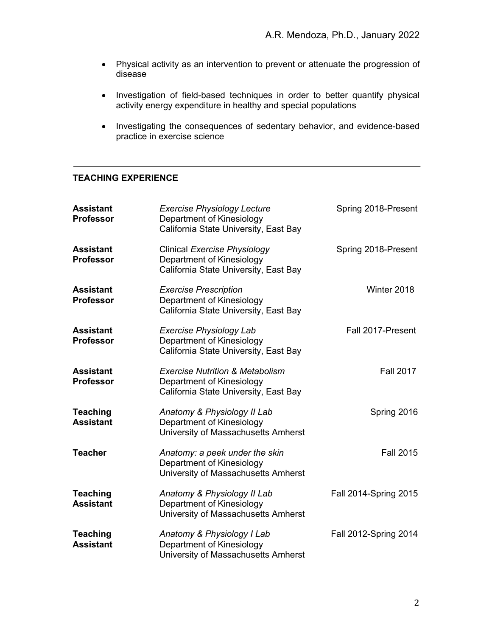- Physical activity as an intervention to prevent or attenuate the progression of disease
- Investigation of field-based techniques in order to better quantify physical activity energy expenditure in healthy and special populations
- Investigating the consequences of sedentary behavior, and evidence-based practice in exercise science

# **TEACHING EXPERIENCE**

| <b>Assistant</b><br><b>Professor</b> | <b>Exercise Physiology Lecture</b><br>Department of Kinesiology<br>California State University, East Bay         | Spring 2018-Present   |
|--------------------------------------|------------------------------------------------------------------------------------------------------------------|-----------------------|
| <b>Assistant</b><br><b>Professor</b> | <b>Clinical Exercise Physiology</b><br>Department of Kinesiology<br>California State University, East Bay        | Spring 2018-Present   |
| <b>Assistant</b><br><b>Professor</b> | <b>Exercise Prescription</b><br>Department of Kinesiology<br>California State University, East Bay               | Winter 2018           |
| <b>Assistant</b><br><b>Professor</b> | <b>Exercise Physiology Lab</b><br>Department of Kinesiology<br>California State University, East Bay             | Fall 2017-Present     |
| <b>Assistant</b><br><b>Professor</b> | <b>Exercise Nutrition &amp; Metabolism</b><br>Department of Kinesiology<br>California State University, East Bay | <b>Fall 2017</b>      |
| <b>Teaching</b><br><b>Assistant</b>  | Anatomy & Physiology II Lab<br>Department of Kinesiology<br>University of Massachusetts Amherst                  | Spring 2016           |
| <b>Teacher</b>                       | Anatomy: a peek under the skin<br>Department of Kinesiology<br>University of Massachusetts Amherst               | <b>Fall 2015</b>      |
| <b>Teaching</b><br><b>Assistant</b>  | Anatomy & Physiology II Lab<br>Department of Kinesiology<br>University of Massachusetts Amherst                  | Fall 2014-Spring 2015 |
| <b>Teaching</b><br><b>Assistant</b>  | Anatomy & Physiology I Lab<br>Department of Kinesiology<br>University of Massachusetts Amherst                   | Fall 2012-Spring 2014 |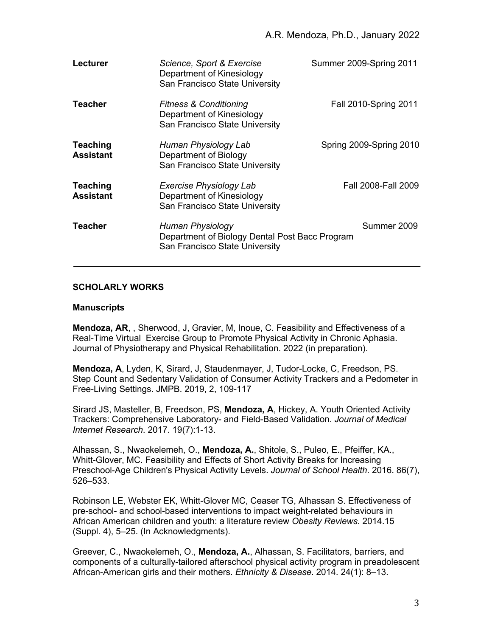| Lecturer                            | Science, Sport & Exercise<br>Department of Kinesiology<br>San Francisco State University             | Summer 2009-Spring 2011      |
|-------------------------------------|------------------------------------------------------------------------------------------------------|------------------------------|
| Teacher                             | <b>Fitness &amp; Conditioning</b><br>Department of Kinesiology<br>San Francisco State University     | <b>Fall 2010-Spring 2011</b> |
| <b>Teaching</b><br><b>Assistant</b> | Human Physiology Lab<br>Department of Biology<br>San Francisco State University                      | Spring 2009-Spring 2010      |
| <b>Teaching</b><br><b>Assistant</b> | Exercise Physiology Lab<br>Department of Kinesiology<br>San Francisco State University               | Fall 2008-Fall 2009          |
| Teacher                             | Human Physiology<br>Department of Biology Dental Post Bacc Program<br>San Francisco State University | Summer 2009                  |

## **SCHOLARLY WORKS**

#### **Manuscripts**

**Mendoza, AR**, , Sherwood, J, Gravier, M, Inoue, C. Feasibility and Effectiveness of a Real-Time Virtual Exercise Group to Promote Physical Activity in Chronic Aphasia. Journal of Physiotherapy and Physical Rehabilitation. 2022 (in preparation).

**Mendoza, A**, Lyden, K, Sirard, J, Staudenmayer, J, Tudor-Locke, C, Freedson, PS. Step Count and Sedentary Validation of Consumer Activity Trackers and a Pedometer in Free-Living Settings. JMPB. 2019, 2, 109-117

Sirard JS, Masteller, B, Freedson, PS, **Mendoza, A**, Hickey, A. Youth Oriented Activity Trackers: Comprehensive Laboratory- and Field-Based Validation. *Journal of Medical Internet Research*. 2017. 19(7):1-13.

Alhassan, S., Nwaokelemeh, O., **Mendoza, A.**, Shitole, S., Puleo, E., Pfeiffer, KA., Whitt-Glover, MC. Feasibility and Effects of Short Activity Breaks for Increasing Preschool-Age Children's Physical Activity Levels. *Journal of School Health*. 2016. 86(7), 526–533.

Robinson LE, Webster EK, Whitt-Glover MC, Ceaser TG, Alhassan S. Effectiveness of pre-school- and school-based interventions to impact weight-related behaviours in African American children and youth: a literature review *Obesity Reviews*. 2014.15 (Suppl. 4), 5–25. (In Acknowledgments).

Greever, C., Nwaokelemeh, O., **Mendoza, A.**, Alhassan, S. Facilitators, barriers, and components of a culturally-tailored afterschool physical activity program in preadolescent African-American girls and their mothers. *Ethnicity & Disease*. 2014. 24(1): 8–13.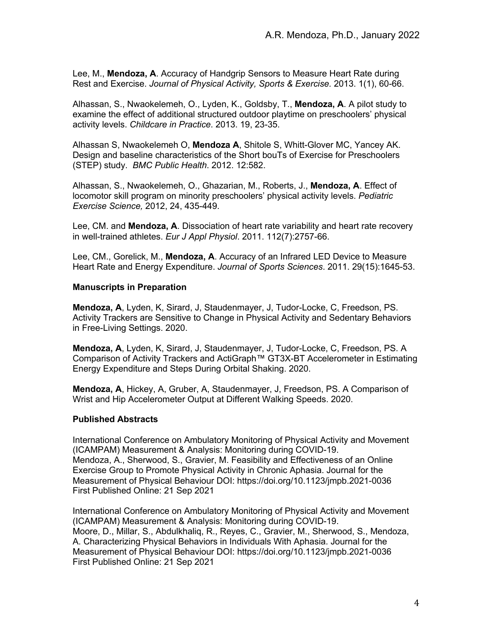Lee, M., **Mendoza, A**. Accuracy of Handgrip Sensors to Measure Heart Rate during Rest and Exercise. *Journal of Physical Activity, Sports & Exercise.* 2013. 1(1), 60-66.

Alhassan, S., Nwaokelemeh, O., Lyden, K., Goldsby, T., **Mendoza, A**. A pilot study to examine the effect of additional structured outdoor playtime on preschoolers' physical activity levels. *Childcare in Practice*. 2013. 19, 23-35.

Alhassan S, Nwaokelemeh O, **Mendoza A**, Shitole S, Whitt-Glover MC, Yancey AK. Design and baseline characteristics of the Short bouTs of Exercise for Preschoolers (STEP) study. *BMC Public Health*. 2012. 12:582.

Alhassan, S., Nwaokelemeh, O., Ghazarian, M., Roberts, J., **Mendoza, A**. Effect of locomotor skill program on minority preschoolers' physical activity levels. *Pediatric Exercise Science,* 2012, 24, 435-449.

Lee, CM. and **Mendoza, A**. Dissociation of heart rate variability and heart rate recovery in well-trained athletes. *Eur J Appl Physiol*. 2011. 112(7):2757-66.

Lee, CM., Gorelick, M., **Mendoza, A**. Accuracy of an Infrared LED Device to Measure Heart Rate and Energy Expenditure. *Journal of Sports Sciences*. 2011. 29(15):1645-53.

#### **Manuscripts in Preparation**

**Mendoza, A**, Lyden, K, Sirard, J, Staudenmayer, J, Tudor-Locke, C, Freedson, PS. Activity Trackers are Sensitive to Change in Physical Activity and Sedentary Behaviors in Free-Living Settings. 2020.

**Mendoza, A**, Lyden, K, Sirard, J, Staudenmayer, J, Tudor-Locke, C, Freedson, PS. A Comparison of Activity Trackers and ActiGraph™ GT3X-BT Accelerometer in Estimating Energy Expenditure and Steps During Orbital Shaking. 2020.

**Mendoza, A**, Hickey, A, Gruber, A, Staudenmayer, J, Freedson, PS. A Comparison of Wrist and Hip Accelerometer Output at Different Walking Speeds. 2020.

#### **Published Abstracts**

International Conference on Ambulatory Monitoring of Physical Activity and Movement (ICAMPAM) Measurement & Analysis: Monitoring during COVID-19. Mendoza, A., Sherwood, S., Gravier, M. Feasibility and Effectiveness of an Online Exercise Group to Promote Physical Activity in Chronic Aphasia. Journal for the Measurement of Physical Behaviour DOI: https://doi.org/10.1123/jmpb.2021-0036 First Published Online: 21 Sep 2021

International Conference on Ambulatory Monitoring of Physical Activity and Movement (ICAMPAM) Measurement & Analysis: Monitoring during COVID-19. Moore, D., Millar, S., Abdulkhaliq, R., Reyes, C., Gravier, M., Sherwood, S., Mendoza, A. Characterizing Physical Behaviors in Individuals With Aphasia. Journal for the Measurement of Physical Behaviour DOI: https://doi.org/10.1123/jmpb.2021-0036 First Published Online: 21 Sep 2021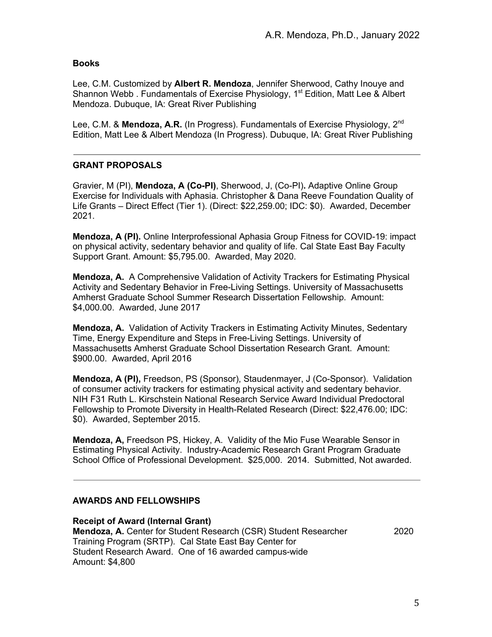# **Books**

Lee, C.M. Customized by **Albert R. Mendoza**, Jennifer Sherwood, Cathy Inouye and Shannon Webb. Fundamentals of Exercise Physiology, 1<sup>st</sup> Edition, Matt Lee & Albert Mendoza. Dubuque, IA: Great River Publishing

Lee, C.M. & **Mendoza, A.R.** (In Progress). Fundamentals of Exercise Physiology, 2<sup>nd</sup> Edition, Matt Lee & Albert Mendoza (In Progress). Dubuque, IA: Great River Publishing

# **GRANT PROPOSALS**

Gravier, M (PI), **Mendoza, A (Co-PI)**, Sherwood, J, (Co-PI)**.** Adaptive Online Group Exercise for Individuals with Aphasia. Christopher & Dana Reeve Foundation Quality of Life Grants – Direct Effect (Tier 1). (Direct: \$22,259.00; IDC: \$0). Awarded, December 2021.

**Mendoza, A (PI).** Online Interprofessional Aphasia Group Fitness for COVID-19: impact on physical activity, sedentary behavior and quality of life. Cal State East Bay Faculty Support Grant. Amount: \$5,795.00. Awarded, May 2020.

**Mendoza, A.** A Comprehensive Validation of Activity Trackers for Estimating Physical Activity and Sedentary Behavior in Free-Living Settings. University of Massachusetts Amherst Graduate School Summer Research Dissertation Fellowship. Amount: \$4,000.00. Awarded, June 2017

**Mendoza, A.** Validation of Activity Trackers in Estimating Activity Minutes, Sedentary Time, Energy Expenditure and Steps in Free-Living Settings. University of Massachusetts Amherst Graduate School Dissertation Research Grant. Amount: \$900.00. Awarded, April 2016

**Mendoza, A (PI),** Freedson, PS (Sponsor), Staudenmayer, J (Co-Sponsor). Validation of consumer activity trackers for estimating physical activity and sedentary behavior. NIH F31 Ruth L. Kirschstein National Research Service Award Individual Predoctoral Fellowship to Promote Diversity in Health-Related Research (Direct: \$22,476.00; IDC: \$0). Awarded, September 2015.

**Mendoza, A,** Freedson PS, Hickey, A. Validity of the Mio Fuse Wearable Sensor in Estimating Physical Activity. Industry-Academic Research Grant Program Graduate School Office of Professional Development. \$25,000. 2014. Submitted, Not awarded.

# **AWARDS AND FELLOWSHIPS**

**Receipt of Award (Internal Grant) Mendoza, A.** Center for Student Research (CSR) Student Researcher 2020 Training Program (SRTP). Cal State East Bay Center for Student Research Award. One of 16 awarded campus-wide Amount: \$4,800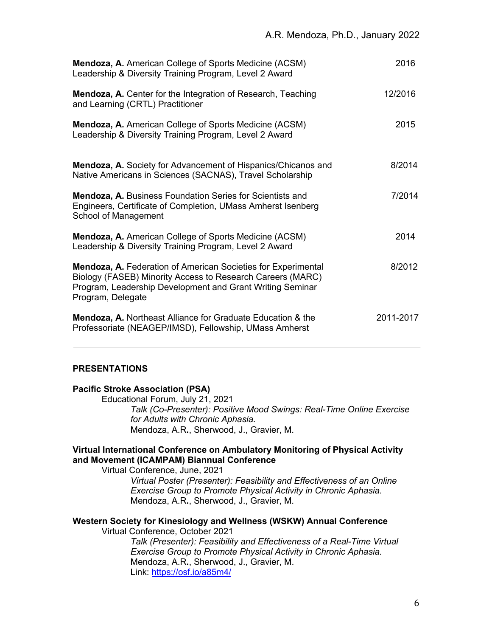| Mendoza, A. American College of Sports Medicine (ACSM)<br>Leadership & Diversity Training Program, Level 2 Award                                                                                              | 2016      |
|---------------------------------------------------------------------------------------------------------------------------------------------------------------------------------------------------------------|-----------|
| Mendoza, A. Center for the Integration of Research, Teaching<br>and Learning (CRTL) Practitioner                                                                                                              | 12/2016   |
| Mendoza, A. American College of Sports Medicine (ACSM)<br>Leadership & Diversity Training Program, Level 2 Award                                                                                              | 2015      |
| Mendoza, A. Society for Advancement of Hispanics/Chicanos and<br>Native Americans in Sciences (SACNAS), Travel Scholarship                                                                                    | 8/2014    |
| <b>Mendoza, A. Business Foundation Series for Scientists and</b><br>Engineers, Certificate of Completion, UMass Amherst Isenberg<br>School of Management                                                      | 7/2014    |
| Mendoza, A. American College of Sports Medicine (ACSM)<br>Leadership & Diversity Training Program, Level 2 Award                                                                                              | 2014      |
| Mendoza, A. Federation of American Societies for Experimental<br>Biology (FASEB) Minority Access to Research Careers (MARC)<br>Program, Leadership Development and Grant Writing Seminar<br>Program, Delegate | 8/2012    |
| Mendoza, A. Northeast Alliance for Graduate Education & the<br>Professoriate (NEAGEP/IMSD), Fellowship, UMass Amherst                                                                                         | 2011-2017 |

# **PRESENTATIONS**

|  |  | <b>Pacific Stroke Association (PSA)</b> |  |
|--|--|-----------------------------------------|--|
|--|--|-----------------------------------------|--|

Educational Forum, July 21, 2021 *Talk (Co-Presenter): Positive Mood Swings: Real-Time Online Exercise for Adults with Chronic Aphasia.* Mendoza, A.R**.**, Sherwood, J., Gravier, M.

#### **Virtual International Conference on Ambulatory Monitoring of Physical Activity and Movement (ICAMPAM) Biannual Conference**

Virtual Conference, June, 2021

*Virtual Poster (Presenter): Feasibility and Effectiveness of an Online Exercise Group to Promote Physical Activity in Chronic Aphasia.* Mendoza, A.R**.**, Sherwood, J., Gravier, M.

### **Western Society for Kinesiology and Wellness (WSKW) Annual Conference**

Virtual Conference, October 2021

*Talk (Presenter): Feasibility and Effectiveness of a Real-Time Virtual Exercise Group to Promote Physical Activity in Chronic Aphasia.* Mendoza, A.R**.**, Sherwood, J., Gravier, M. Link: https://osf.io/a85m4/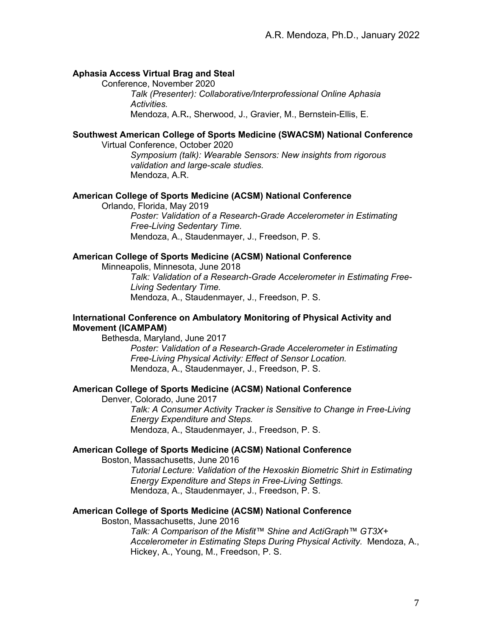#### **Aphasia Access Virtual Brag and Steal**

Conference, November 2020

*Talk (Presenter): Collaborative/Interprofessional Online Aphasia Activities.* Mendoza, A.R**.**, Sherwood, J., Gravier, M., Bernstein-Ellis, E.

# **Southwest American College of Sports Medicine (SWACSM) National Conference**

Virtual Conference, October 2020 *Symposium (talk): Wearable Sensors: New insights from rigorous validation and large-scale studies.* Mendoza, A.R.

#### **American College of Sports Medicine (ACSM) National Conference**

Orlando, Florida, May 2019 *Poster: Validation of a Research-Grade Accelerometer in Estimating Free-Living Sedentary Time.* Mendoza, A., Staudenmayer, J., Freedson, P. S.

#### **American College of Sports Medicine (ACSM) National Conference**

Minneapolis, Minnesota, June 2018 *Talk: Validation of a Research-Grade Accelerometer in Estimating Free-Living Sedentary Time.*

Mendoza, A., Staudenmayer, J., Freedson, P. S.

# **International Conference on Ambulatory Monitoring of Physical Activity and Movement (ICAMPAM)**

Bethesda, Maryland, June 2017

*Poster: Validation of a Research-Grade Accelerometer in Estimating Free-Living Physical Activity: Effect of Sensor Location.* Mendoza, A., Staudenmayer, J., Freedson, P. S.

#### **American College of Sports Medicine (ACSM) National Conference**

Denver, Colorado, June 2017

*Talk: A Consumer Activity Tracker is Sensitive to Change in Free-Living Energy Expenditure and Steps.* Mendoza, A., Staudenmayer, J., Freedson, P. S.

#### **American College of Sports Medicine (ACSM) National Conference**

Boston, Massachusetts, June 2016 *Tutorial Lecture: Validation of the Hexoskin Biometric Shirt in Estimating Energy Expenditure and Steps in Free-Living Settings.*

Mendoza, A., Staudenmayer, J., Freedson, P. S.

#### **American College of Sports Medicine (ACSM) National Conference**

Boston, Massachusetts, June 2016

*Talk: A Comparison of the Misfit™ Shine and ActiGraph™ GT3X+ Accelerometer in Estimating Steps During Physical Activity.* Mendoza, A., Hickey, A., Young, M., Freedson, P. S.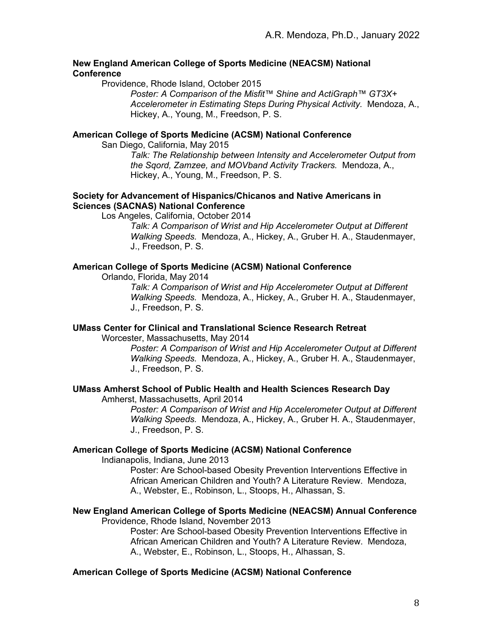#### **New England American College of Sports Medicine (NEACSM) National Conference**

Providence, Rhode Island, October 2015

*Poster: A Comparison of the Misfit™ Shine and ActiGraph™ GT3X+ Accelerometer in Estimating Steps During Physical Activity.* Mendoza, A., Hickey, A., Young, M., Freedson, P. S.

## **American College of Sports Medicine (ACSM) National Conference**

San Diego, California, May 2015

*Talk: The Relationship between Intensity and Accelerometer Output from the Sqord, Zamzee, and MOVband Activity Trackers.* Mendoza, A., Hickey, A., Young, M., Freedson, P. S.

## **Society for Advancement of Hispanics/Chicanos and Native Americans in Sciences (SACNAS) National Conference**

Los Angeles, California, October 2014

*Talk: A Comparison of Wrist and Hip Accelerometer Output at Different Walking Speeds.* Mendoza, A., Hickey, A., Gruber H. A., Staudenmayer, J., Freedson, P. S.

# **American College of Sports Medicine (ACSM) National Conference**

Orlando, Florida, May 2014

*Talk: A Comparison of Wrist and Hip Accelerometer Output at Different Walking Speeds.* Mendoza, A., Hickey, A., Gruber H. A., Staudenmayer, J., Freedson, P. S.

# **UMass Center for Clinical and Translational Science Research Retreat**

Worcester, Massachusetts, May 2014

*Poster: A Comparison of Wrist and Hip Accelerometer Output at Different Walking Speeds.* Mendoza, A., Hickey, A., Gruber H. A., Staudenmayer, J., Freedson, P. S.

#### **UMass Amherst School of Public Health and Health Sciences Research Day**

Amherst, Massachusetts, April 2014

*Poster: A Comparison of Wrist and Hip Accelerometer Output at Different Walking Speeds.* Mendoza, A., Hickey, A., Gruber H. A., Staudenmayer, J., Freedson, P. S.

#### **American College of Sports Medicine (ACSM) National Conference**

Indianapolis, Indiana, June 2013

Poster: Are School-based Obesity Prevention Interventions Effective in African American Children and Youth? A Literature Review. Mendoza, A., Webster, E., Robinson, L., Stoops, H., Alhassan, S.

# **New England American College of Sports Medicine (NEACSM) Annual Conference**

Providence, Rhode Island, November 2013

Poster: Are School-based Obesity Prevention Interventions Effective in African American Children and Youth? A Literature Review. Mendoza, A., Webster, E., Robinson, L., Stoops, H., Alhassan, S.

#### **American College of Sports Medicine (ACSM) National Conference**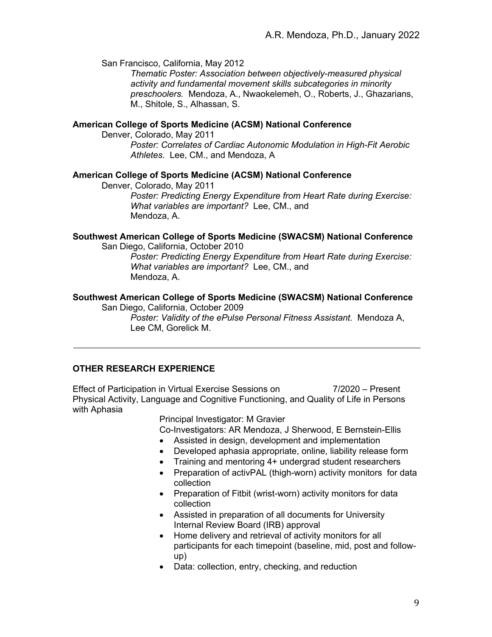San Francisco, California, May 2012

*Thematic Poster: Association between objectively-measured physical activity and fundamental movement skills subcategories in minority preschoolers.* Mendoza, A., Nwaokelemeh, O., Roberts, J., Ghazarians, M., Shitole, S., Alhassan, S.

#### **American College of Sports Medicine (ACSM) National Conference**

Denver, Colorado, May 2011

*Poster: Correlates of Cardiac Autonomic Modulation in High-Fit Aerobic Athletes.* Lee, CM., and Mendoza, A

#### **American College of Sports Medicine (ACSM) National Conference**

Denver, Colorado, May 2011 *Poster: Predicting Energy Expenditure from Heart Rate during Exercise: What variables are important?* Lee, CM., and Mendoza, A.

#### **Southwest American College of Sports Medicine (SWACSM) National Conference**

San Diego, California, October 2010

*Poster: Predicting Energy Expenditure from Heart Rate during Exercise: What variables are important?* Lee, CM., and Mendoza, A.

#### **Southwest American College of Sports Medicine (SWACSM) National Conference**

San Diego, California, October 2009 *Poster: Validity of the ePulse Personal Fitness Assistant.* Mendoza A, Lee CM, Gorelick M.

#### **OTHER RESEARCH EXPERIENCE**

Effect of Participation in Virtual Exercise Sessions on 7/2020 – Present Physical Activity, Language and Cognitive Functioning, and Quality of Life in Persons with Aphasia

Principal Investigator: M Gravier

Co-Investigators: AR Mendoza, J Sherwood, E Bernstein-Ellis

- Assisted in design, development and implementation
- Developed aphasia appropriate, online, liability release form
- Training and mentoring 4+ undergrad student researchers
- Preparation of activPAL (thigh-worn) activity monitors for data collection
- Preparation of Fitbit (wrist-worn) activity monitors for data collection
- Assisted in preparation of all documents for University Internal Review Board (IRB) approval
- Home delivery and retrieval of activity monitors for all participants for each timepoint (baseline, mid, post and followup)
- Data: collection, entry, checking, and reduction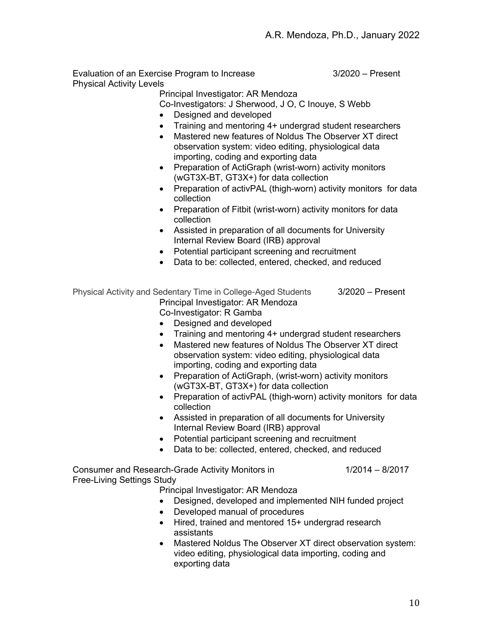Evaluation of an Exercise Program to Increase **3/2020** – Present Physical Activity Levels

Principal Investigator: AR Mendoza

Co-Investigators: J Sherwood, J O, C Inouye, S Webb

- Designed and developed
- Training and mentoring 4+ undergrad student researchers
- Mastered new features of Noldus The Observer XT direct observation system: video editing, physiological data importing, coding and exporting data
- Preparation of ActiGraph (wrist-worn) activity monitors (wGT3X-BT, GT3X+) for data collection
- Preparation of activPAL (thigh-worn) activity monitors for data collection
- Preparation of Fitbit (wrist-worn) activity monitors for data collection
- Assisted in preparation of all documents for University Internal Review Board (IRB) approval
- Potential participant screening and recruitment
- Data to be: collected, entered, checked, and reduced

| Physical Activity and Sedentary Time in College-Aged Students | 3/2020 – Present |
|---------------------------------------------------------------|------------------|
| Principal Investigator: AR Mendoza                            |                  |
| Calculativation D.Cambre                                      |                  |

Co-Investigator: R Gamba

- Designed and developed
- Training and mentoring 4+ undergrad student researchers
- Mastered new features of Noldus The Observer XT direct observation system: video editing, physiological data importing, coding and exporting data
- Preparation of ActiGraph, (wrist-worn) activity monitors (wGT3X-BT, GT3X+) for data collection
- Preparation of activPAL (thigh-worn) activity monitors for data collection
- Assisted in preparation of all documents for University Internal Review Board (IRB) approval
- Potential participant screening and recruitment
- Data to be: collected, entered, checked, and reduced

Consumer and Research-Grade Activity Monitors in 1/2014 – 8/2017 Free-Living Settings Study

Principal Investigator: AR Mendoza

- Designed, developed and implemented NIH funded project
- Developed manual of procedures
- Hired, trained and mentored 15+ undergrad research assistants
- Mastered Noldus The Observer XT direct observation system: video editing, physiological data importing, coding and exporting data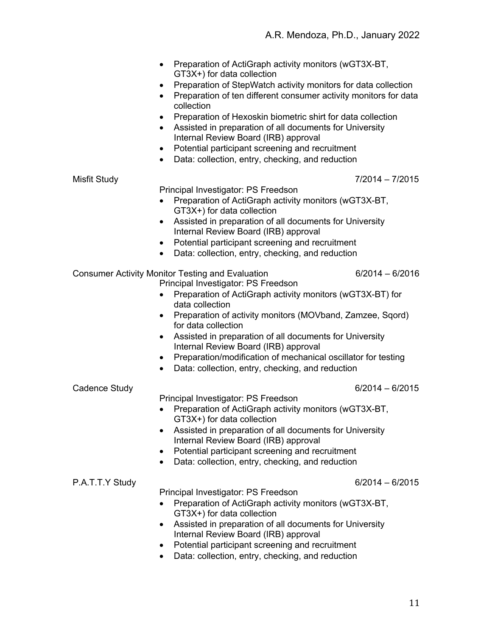| Preparation of ActiGraph activity monitors (wGT3X-BT, |
|-------------------------------------------------------|
| GT3X+) for data collection                            |

- Preparation of StepWatch activity monitors for data collection
- Preparation of ten different consumer activity monitors for data collection
- Preparation of Hexoskin biometric shirt for data collection
- Assisted in preparation of all documents for University Internal Review Board (IRB) approval
- Potential participant screening and recruitment
- Data: collection, entry, checking, and reduction

#### Misfit Study 7/2014 – 7/2015

Principal Investigator: PS Freedson

- Preparation of ActiGraph activity monitors (wGT3X-BT, GT3X+) for data collection
- Assisted in preparation of all documents for University Internal Review Board (IRB) approval
- Potential participant screening and recruitment
- Data: collection, entry, checking, and reduction

## Consumer Activity Monitor Testing and Evaluation 6/2014 – 6/2016

- Principal Investigator: PS Freedson
- Preparation of ActiGraph activity monitors (wGT3X-BT) for data collection
- Preparation of activity monitors (MOVband, Zamzee, Sqord) for data collection
- Assisted in preparation of all documents for University Internal Review Board (IRB) approval
- Preparation/modification of mechanical oscillator for testing
- Data: collection, entry, checking, and reduction

#### Cadence Study 6/2014 – 6/2015

Principal Investigator: PS Freedson

- Preparation of ActiGraph activity monitors (wGT3X-BT, GT3X+) for data collection
- Assisted in preparation of all documents for University Internal Review Board (IRB) approval
- Potential participant screening and recruitment
- Data: collection, entry, checking, and reduction

P.A.T.T.Y Study 6/2014 – 6/2015

Principal Investigator: PS Freedson

- Preparation of ActiGraph activity monitors (wGT3X-BT, GT3X+) for data collection
- Assisted in preparation of all documents for University Internal Review Board (IRB) approval
- Potential participant screening and recruitment
- Data: collection, entry, checking, and reduction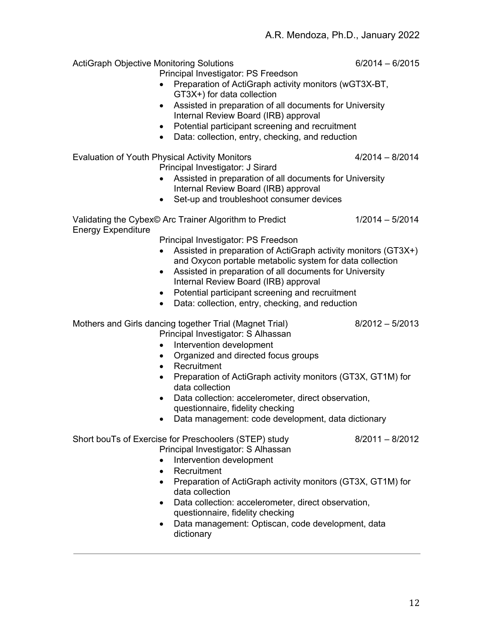ActiGraph Objective Monitoring Solutions 6/2014 – 6/2015

- Principal Investigator: PS Freedson
- Preparation of ActiGraph activity monitors (wGT3X-BT, GT3X+) for data collection
- Assisted in preparation of all documents for University Internal Review Board (IRB) approval
- Potential participant screening and recruitment
- Data: collection, entry, checking, and reduction

Evaluation of Youth Physical Activity Monitors **4/2014** – 8/2014 Principal Investigator: J Sirard

- Assisted in preparation of all documents for University Internal Review Board (IRB) approval
- Set-up and troubleshoot consumer devices

Validating the Cybex© Arc Trainer Algorithm to Predict 1/2014 – 5/2014 Energy Expenditure

Principal Investigator: PS Freedson

- Assisted in preparation of ActiGraph activity monitors (GT3X+) and Oxycon portable metabolic system for data collection
- Assisted in preparation of all documents for University Internal Review Board (IRB) approval
- Potential participant screening and recruitment
- Data: collection, entry, checking, and reduction

Mothers and Girls dancing together Trial (Magnet Trial) 8/2012 – 5/2013

- Principal Investigator: S Alhassan
- Intervention development
- Organized and directed focus groups
- Recruitment
- Preparation of ActiGraph activity monitors (GT3X, GT1M) for data collection
- Data collection: accelerometer, direct observation, questionnaire, fidelity checking
- Data management: code development, data dictionary

# Short bouTs of Exercise for Preschoolers (STEP) study 8/2011 – 8/2012

- Principal Investigator: S Alhassan
- Intervention development
- Recruitment
- Preparation of ActiGraph activity monitors (GT3X, GT1M) for data collection
- Data collection: accelerometer, direct observation, questionnaire, fidelity checking
- Data management: Optiscan, code development, data dictionary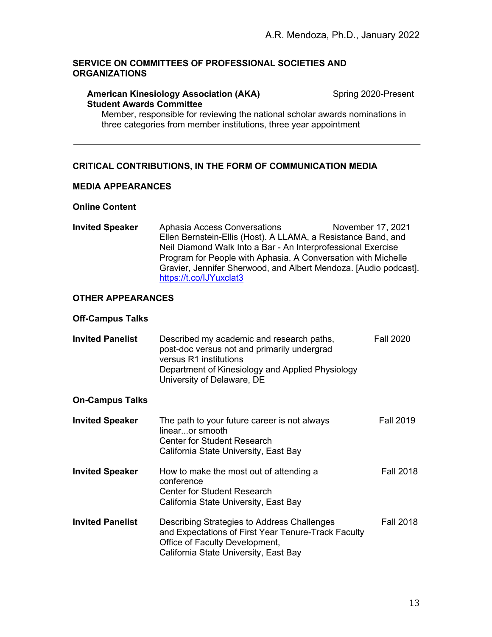## **SERVICE ON COMMITTEES OF PROFESSIONAL SOCIETIES AND ORGANIZATIONS**

#### **American Kinesiology Association (AKA)** Spring 2020-Present **Student Awards Committee**

Member, responsible for reviewing the national scholar awards nominations in three categories from member institutions, three year appointment

# **CRITICAL CONTRIBUTIONS, IN THE FORM OF COMMUNICATION MEDIA**

#### **MEDIA APPEARANCES**

#### **Online Content**

**Invited Speaker** Aphasia Access Conversations Movember 17, 2021 Ellen Bernstein-Ellis (Host). A LLAMA, a Resistance Band, and Neil Diamond Walk Into a Bar - An Interprofessional Exercise Program for People with Aphasia. A Conversation with Michelle Gravier, Jennifer Sherwood, and Albert Mendoza. [Audio podcast]. https://t.co/IJYuxclat3

# **OTHER APPEARANCES**

#### **Off-Campus Talks**

| <b>Invited Panelist</b> | Described my academic and research paths,        | <b>Fall 2020</b> |
|-------------------------|--------------------------------------------------|------------------|
|                         | post-doc versus not and primarily undergrad      |                  |
|                         | versus R1 institutions                           |                  |
|                         | Department of Kinesiology and Applied Physiology |                  |
|                         | University of Delaware, DE                       |                  |

#### **On-Campus Talks**

| <b>Invited Speaker</b>  | The path to your future career is not always<br>linearor smooth<br>Center for Student Research<br>California State University, East Bay                                       | <b>Fall 2019</b> |
|-------------------------|-------------------------------------------------------------------------------------------------------------------------------------------------------------------------------|------------------|
| <b>Invited Speaker</b>  | How to make the most out of attending a<br>conference<br><b>Center for Student Research</b><br>California State University, East Bay                                          | <b>Fall 2018</b> |
| <b>Invited Panelist</b> | Describing Strategies to Address Challenges<br>and Expectations of First Year Tenure-Track Faculty<br>Office of Faculty Development,<br>California State University, East Bay | <b>Fall 2018</b> |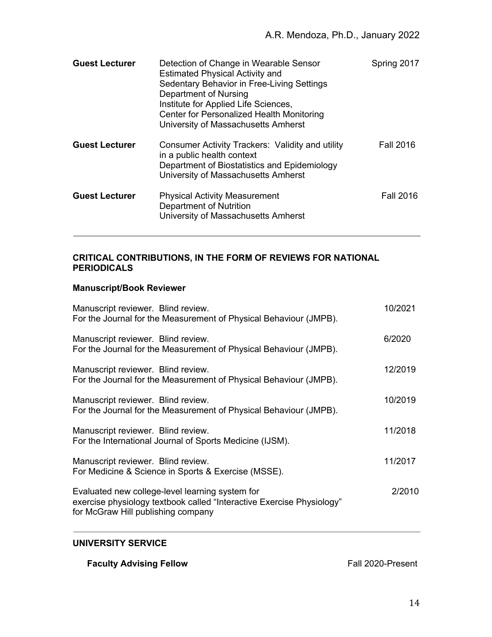| <b>Guest Lecturer</b> | Detection of Change in Wearable Sensor<br><b>Estimated Physical Activity and</b><br>Sedentary Behavior in Free-Living Settings<br>Department of Nursing<br>Institute for Applied Life Sciences,<br>Center for Personalized Health Monitoring<br>University of Massachusetts Amherst | Spring 2017      |
|-----------------------|-------------------------------------------------------------------------------------------------------------------------------------------------------------------------------------------------------------------------------------------------------------------------------------|------------------|
| <b>Guest Lecturer</b> | Consumer Activity Trackers: Validity and utility<br>in a public health context<br>Department of Biostatistics and Epidemiology<br>University of Massachusetts Amherst                                                                                                               | <b>Fall 2016</b> |
| <b>Guest Lecturer</b> | <b>Physical Activity Measurement</b><br>Department of Nutrition<br>University of Massachusetts Amherst                                                                                                                                                                              | <b>Fall 2016</b> |

# **CRITICAL CONTRIBUTIONS, IN THE FORM OF REVIEWS FOR NATIONAL PERIODICALS**

# **Manuscript/Book Reviewer**

| Manuscript reviewer. Blind review.<br>For the Journal for the Measurement of Physical Behaviour (JMPB).                                                        | 10/2021 |
|----------------------------------------------------------------------------------------------------------------------------------------------------------------|---------|
| Manuscript reviewer. Blind review.<br>For the Journal for the Measurement of Physical Behaviour (JMPB).                                                        | 6/2020  |
| Manuscript reviewer. Blind review.<br>For the Journal for the Measurement of Physical Behaviour (JMPB).                                                        | 12/2019 |
| Manuscript reviewer. Blind review.<br>For the Journal for the Measurement of Physical Behaviour (JMPB).                                                        | 10/2019 |
| Manuscript reviewer. Blind review.<br>For the International Journal of Sports Medicine (IJSM).                                                                 | 11/2018 |
| Manuscript reviewer. Blind review.<br>For Medicine & Science in Sports & Exercise (MSSE).                                                                      | 11/2017 |
| Evaluated new college-level learning system for<br>exercise physiology textbook called "Interactive Exercise Physiology"<br>for McGraw Hill publishing company | 2/2010  |

# **UNIVERSITY SERVICE**

**Faculty Advising Fellow** Fall 2020-Present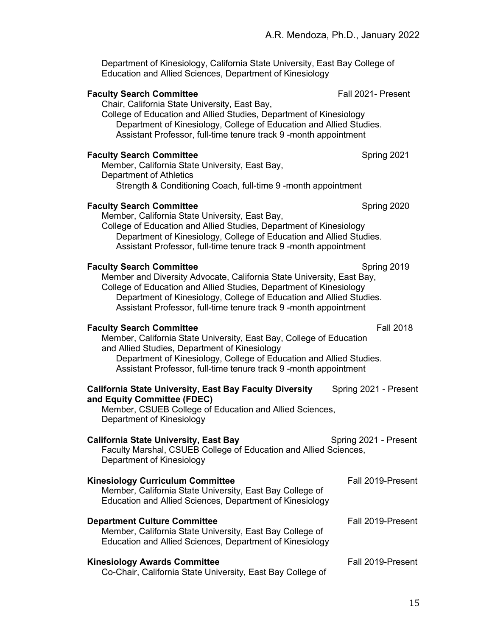Department of Kinesiology, California State University, East Bay College of Education and Allied Sciences, Department of Kinesiology

#### **Faculty Search Committee** Fall 2021- Present

Chair, California State University, East Bay,

College of Education and Allied Studies, Department of Kinesiology Department of Kinesiology, College of Education and Allied Studies. Assistant Professor, full-time tenure track 9 -month appointment

#### **Faculty Search Committee** Spring 2021

Member, California State University, East Bay, Department of Athletics Strength & Conditioning Coach, full-time 9 -month appointment

#### **Faculty Search Committee**  Spring 2020

Member, California State University, East Bay,

College of Education and Allied Studies, Department of Kinesiology Department of Kinesiology, College of Education and Allied Studies. Assistant Professor, full-time tenure track 9 -month appointment

#### **Faculty Search Committee**  The Spring 2019 Spring 2019

Member and Diversity Advocate, California State University, East Bay, College of Education and Allied Studies, Department of Kinesiology Department of Kinesiology, College of Education and Allied Studies. Assistant Professor, full-time tenure track 9 -month appointment

# **Faculty Search Committee Faculty Search Committee Faculty Search Committee**

Member, California State University, East Bay, College of Education and Allied Studies, Department of Kinesiology Department of Kinesiology, College of Education and Allied Studies.

Assistant Professor, full-time tenure track 9 -month appointment

| <b>California State University, East Bay Faculty Diversity</b><br>and Equity Committee (FDEC)                                                                   | Spring 2021 - Present |
|-----------------------------------------------------------------------------------------------------------------------------------------------------------------|-----------------------|
| Member, CSUEB College of Education and Allied Sciences,<br>Department of Kinesiology                                                                            |                       |
| <b>California State University, East Bay</b><br>Faculty Marshal, CSUEB College of Education and Allied Sciences,<br>Department of Kinesiology                   | Spring 2021 - Present |
| <b>Kinesiology Curriculum Committee</b><br>Member, California State University, East Bay College of<br>Education and Allied Sciences, Department of Kinesiology | Fall 2019-Present     |
| <b>Department Culture Committee</b><br>Member, California State University, East Bay College of<br>Education and Allied Sciences, Department of Kinesiology     | Fall 2019-Present     |

# **Kinesiology Awards Committee Fall 2019-Present** Co-Chair, California State University, East Bay College of

15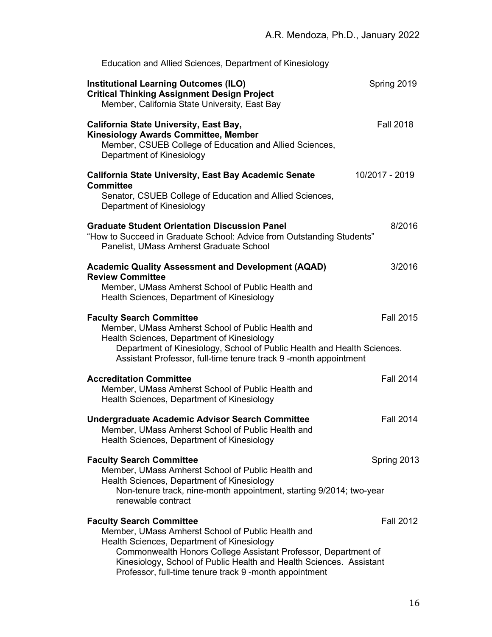| Education and Allied Sciences, Department of Kinesiology                                                                                                                                                                                                                                                                              |                  |
|---------------------------------------------------------------------------------------------------------------------------------------------------------------------------------------------------------------------------------------------------------------------------------------------------------------------------------------|------------------|
| <b>Institutional Learning Outcomes (ILO)</b><br><b>Critical Thinking Assignment Design Project</b><br>Member, California State University, East Bay                                                                                                                                                                                   | Spring 2019      |
| <b>California State University, East Bay,</b><br><b>Kinesiology Awards Committee, Member</b><br>Member, CSUEB College of Education and Allied Sciences,<br>Department of Kinesiology                                                                                                                                                  | <b>Fall 2018</b> |
| <b>California State University, East Bay Academic Senate</b><br><b>Committee</b><br>Senator, CSUEB College of Education and Allied Sciences,<br>Department of Kinesiology                                                                                                                                                             | 10/2017 - 2019   |
| <b>Graduate Student Orientation Discussion Panel</b><br>"How to Succeed in Graduate School: Advice from Outstanding Students"<br>Panelist, UMass Amherst Graduate School                                                                                                                                                              | 8/2016           |
| <b>Academic Quality Assessment and Development (AQAD)</b><br><b>Review Committee</b><br>Member, UMass Amherst School of Public Health and<br>Health Sciences, Department of Kinesiology                                                                                                                                               | 3/2016           |
| <b>Faculty Search Committee</b><br>Member, UMass Amherst School of Public Health and<br>Health Sciences, Department of Kinesiology<br>Department of Kinesiology, School of Public Health and Health Sciences.<br>Assistant Professor, full-time tenure track 9 -month appointment                                                     | <b>Fall 2015</b> |
| <b>Accreditation Committee</b><br>Member, UMass Amherst School of Public Health and<br>Health Sciences, Department of Kinesiology                                                                                                                                                                                                     | <b>Fall 2014</b> |
| <b>Undergraduate Academic Advisor Search Committee</b><br>Member, UMass Amherst School of Public Health and<br>Health Sciences, Department of Kinesiology                                                                                                                                                                             | <b>Fall 2014</b> |
| <b>Faculty Search Committee</b><br>Member, UMass Amherst School of Public Health and<br>Health Sciences, Department of Kinesiology<br>Non-tenure track, nine-month appointment, starting 9/2014; two-year<br>renewable contract                                                                                                       | Spring 2013      |
| <b>Faculty Search Committee</b><br>Member, UMass Amherst School of Public Health and<br>Health Sciences, Department of Kinesiology<br>Commonwealth Honors College Assistant Professor, Department of<br>Kinesiology, School of Public Health and Health Sciences. Assistant<br>Professor, full-time tenure track 9 -month appointment | <b>Fall 2012</b> |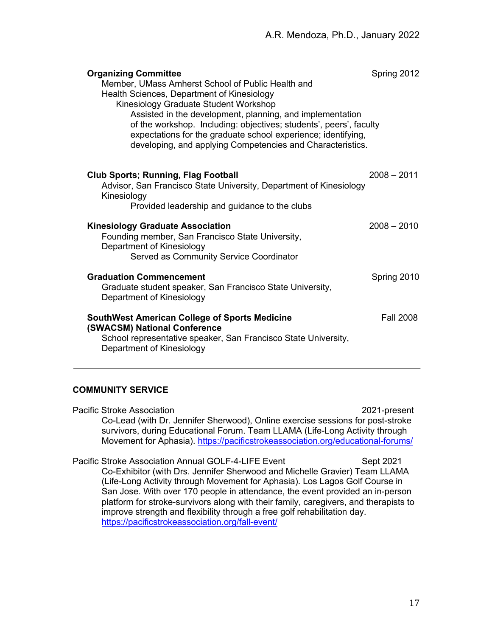| <b>Organizing Committee</b><br>Member, UMass Amherst School of Public Health and<br>Health Sciences, Department of Kinesiology<br>Kinesiology Graduate Student Workshop<br>Assisted in the development, planning, and implementation<br>of the workshop. Including: objectives; students', peers', faculty<br>expectations for the graduate school experience; identifying,<br>developing, and applying Competencies and Characteristics. | Spring 2012      |
|-------------------------------------------------------------------------------------------------------------------------------------------------------------------------------------------------------------------------------------------------------------------------------------------------------------------------------------------------------------------------------------------------------------------------------------------|------------------|
| <b>Club Sports; Running, Flag Football</b><br>Advisor, San Francisco State University, Department of Kinesiology<br>Kinesiology<br>Provided leadership and guidance to the clubs                                                                                                                                                                                                                                                          | $2008 - 2011$    |
| <b>Kinesiology Graduate Association</b><br>Founding member, San Francisco State University,<br>Department of Kinesiology<br>Served as Community Service Coordinator                                                                                                                                                                                                                                                                       | $2008 - 2010$    |
| <b>Graduation Commencement</b><br>Graduate student speaker, San Francisco State University,<br>Department of Kinesiology                                                                                                                                                                                                                                                                                                                  | Spring 2010      |
| <b>SouthWest American College of Sports Medicine</b><br><b>(SWACSM) National Conference</b><br>School representative speaker, San Francisco State University,<br>Department of Kinesiology                                                                                                                                                                                                                                                | <b>Fall 2008</b> |

# **COMMUNITY SERVICE**

Pacific Stroke Association 2021-present Co-Lead (with Dr. Jennifer Sherwood), Online exercise sessions for post-stroke survivors, during Educational Forum. Team LLAMA (Life-Long Activity through Movement for Aphasia). https://pacificstrokeassociation.org/educational-forums/ Pacific Stroke Association Annual GOLF-4-LIFE Event Sept 2021 Co-Exhibitor (with Drs. Jennifer Sherwood and Michelle Gravier) Team LLAMA (Life-Long Activity through Movement for Aphasia). Los Lagos Golf Course in San Jose. With over 170 people in attendance, the event provided an in-person

platform for stroke-survivors along with their family, caregivers, and therapists to improve strength and flexibility through a free golf rehabilitation day. https://pacificstrokeassociation.org/fall-event/